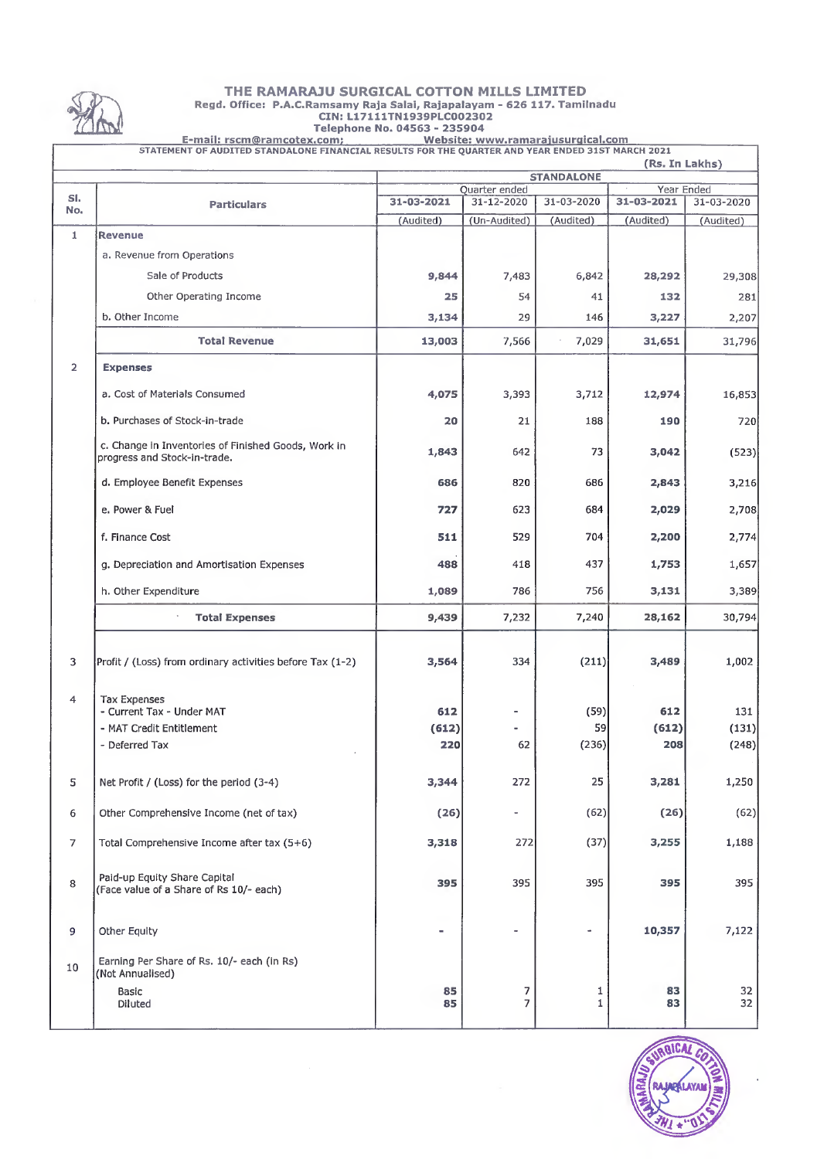

#### THE RAMARAJU SURGICAL COTTON MILLS LIMITED Regd. Office: P.A.C.Ramsamy Raja Salai, Rajapalayam - 626 117. Tamilnadu CIN:L17111TN1939PLC002302 Telephone No. 04563 - 235904

E-mail: rscm@ramcotex.com;<br>
STATEMENT OF AUDITED STANDALONE FINANCIAL RESULTS FOR THE QUARTER AND YEAR ENDED 31ST MARCH 2021

| JIATEMENT OF AUDITED STANDALONE FINANCIAL RESULTS FOR THE QUARTER AND TEAR ENDED 3131 MARCH 2021<br>(Rs. In Lakhs) |                                                                                     |                                 |                             |            |            |            |  |
|--------------------------------------------------------------------------------------------------------------------|-------------------------------------------------------------------------------------|---------------------------------|-----------------------------|------------|------------|------------|--|
|                                                                                                                    |                                                                                     | <b>STANDALONE</b><br>Year Ended |                             |            |            |            |  |
| SI.                                                                                                                |                                                                                     | 31-03-2021                      | Quarter ended<br>31-12-2020 | 31-03-2020 | 31-03-2021 | 31-03-2020 |  |
| No.                                                                                                                | <b>Particulars</b>                                                                  | (Audited)                       | (Un-Audited)                | (Audited)  | (Audited)  | (Audited)  |  |
| 1                                                                                                                  | <b>Revenue</b>                                                                      |                                 |                             |            |            |            |  |
|                                                                                                                    | a. Revenue from Operations                                                          |                                 |                             |            |            |            |  |
|                                                                                                                    | Sale of Products                                                                    | 9,844                           |                             | 6,842      |            |            |  |
|                                                                                                                    |                                                                                     |                                 | 7,483                       |            | 28,292     | 29,308     |  |
|                                                                                                                    | Other Operating Income                                                              | 25                              | 54                          | 41         | 132        | 281        |  |
|                                                                                                                    | b. Other Income                                                                     | 3,134                           | 29                          | 146        | 3,227      | 2,207      |  |
|                                                                                                                    | <b>Total Revenue</b>                                                                | 13,003                          | 7,566                       | 7,029      | 31,651     | 31,796     |  |
| $\overline{2}$                                                                                                     | <b>Expenses</b>                                                                     |                                 |                             |            |            |            |  |
|                                                                                                                    | a. Cost of Materials Consumed                                                       | 4,075                           | 3,393                       | 3,712      | 12,974     | 16,853     |  |
|                                                                                                                    | b. Purchases of Stock-in-trade                                                      | 20                              | 21                          | 188        | 190        | 720        |  |
|                                                                                                                    | c. Change in Inventories of Finished Goods, Work in<br>progress and Stock-in-trade. | 1,843                           | 642                         | 73         | 3,042      | (523)      |  |
|                                                                                                                    | d. Employee Benefit Expenses                                                        | 686                             | 820                         | 686        | 2,843      | 3,216      |  |
|                                                                                                                    | e. Power & Fuel                                                                     | 727                             | 623                         | 684        | 2,029      | 2,708      |  |
|                                                                                                                    | f. Finance Cost                                                                     | 511                             | 529                         | 704        | 2,200      | 2,774      |  |
|                                                                                                                    | g. Depreciation and Amortisation Expenses                                           | 488                             | 418                         | 437        | 1,753      | 1,657      |  |
|                                                                                                                    | h. Other Expenditure                                                                | 1,089                           | 786                         | 756        | 3,131      | 3,389      |  |
|                                                                                                                    | <b>Total Expenses</b>                                                               | 9,439                           | 7,232                       | 7,240      | 28,162     | 30,794     |  |
| 3                                                                                                                  | Profit / (Loss) from ordinary activities before Tax (1-2)                           | 3,564                           | 334                         | (211)      | 3,489      | 1,002      |  |
| 4                                                                                                                  | <b>Tax Expenses</b><br>- Current Tax - Under MAT                                    | 612                             |                             | (59)       | 612        | 131        |  |
|                                                                                                                    | - MAT Credit Entitlement                                                            | (612)                           |                             | 59         | (612)      | (131)      |  |
|                                                                                                                    | - Deferred Tax                                                                      | 220                             | 62                          | (236)      | 208        | (248)      |  |
| 5                                                                                                                  | Net Profit / (Loss) for the period (3-4)                                            | 3,344                           | 272                         | 25         | 3,281      | 1,250      |  |
| 6                                                                                                                  | Other Comprehensive Income (net of tax)                                             | (26)                            | $\overline{\phantom{a}}$    | (62)       | (26)       | (62)       |  |
| $\overline{7}$                                                                                                     | Total Comprehensive Income after tax (5+6)                                          | 3,318                           | 272                         | (37)       | 3,255      | 1,188      |  |
| 8                                                                                                                  | Paid-up Equity Share Capital<br>(Face value of a Share of Rs 10/- each)             | 395                             | 395                         | 395        | 395        | 395        |  |
| 9                                                                                                                  | Other Equity                                                                        | ٠                               | $\bullet$                   | ۰          | 10,357     | 7,122      |  |
| 10                                                                                                                 | Earning Per Share of Rs. 10/- each (in Rs)<br>(Not Annualised)<br><b>Basic</b>      | 85                              | 7                           | 1          | 83         | 32         |  |
|                                                                                                                    | Diluted                                                                             | 85                              | $\overline{7}$              | 1          | 83         | 32         |  |

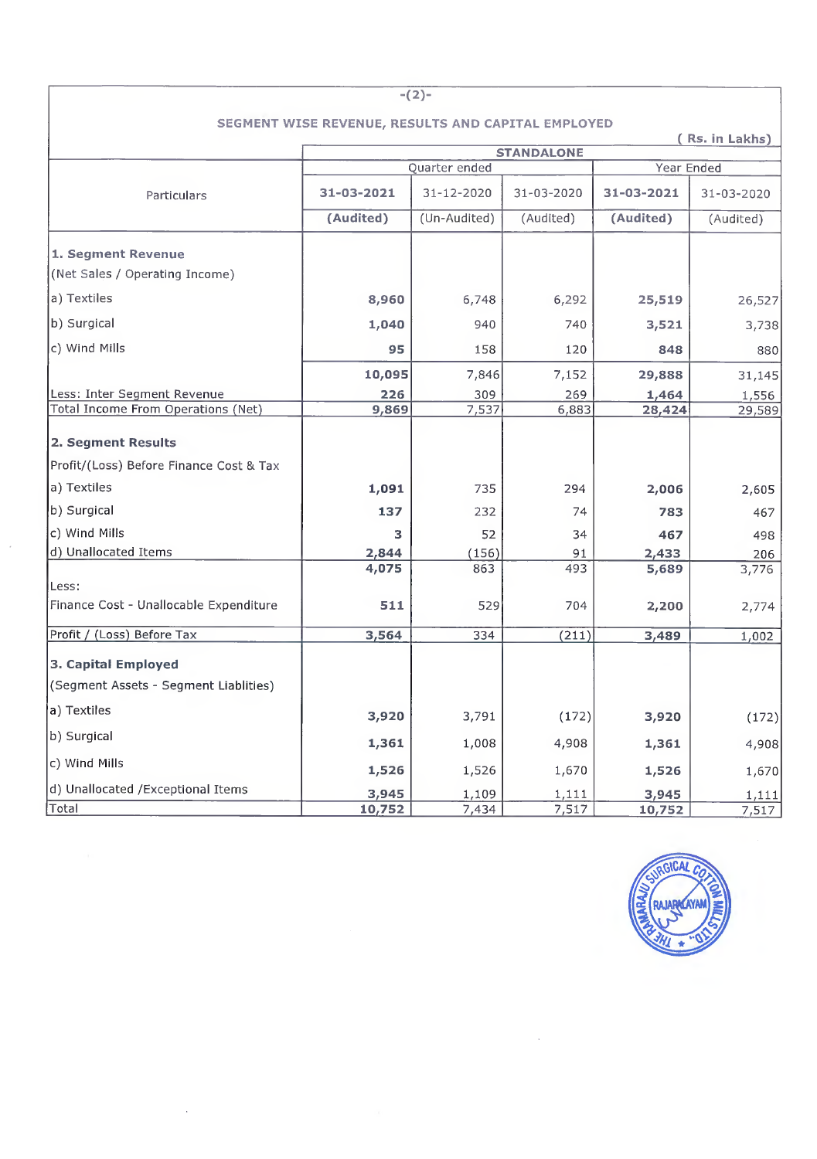| $-(2)-$                                 |                                                    |               |                   |            |            |  |  |  |  |
|-----------------------------------------|----------------------------------------------------|---------------|-------------------|------------|------------|--|--|--|--|
|                                         | SEGMENT WISE REVENUE, RESULTS AND CAPITAL EMPLOYED |               |                   |            |            |  |  |  |  |
| (Rs. in Lakhs)                          |                                                    |               |                   |            |            |  |  |  |  |
|                                         |                                                    | Quarter ended | <b>STANDALONE</b> | Year Ended |            |  |  |  |  |
|                                         |                                                    |               |                   |            |            |  |  |  |  |
| Particulars                             | 31-03-2021                                         | 31-12-2020    | 31-03-2020        | 31-03-2021 | 31-03-2020 |  |  |  |  |
|                                         | (Audited)                                          | (Un-Audited)  | (Audited)         | (Audited)  | (Audited)  |  |  |  |  |
| 1. Segment Revenue                      |                                                    |               |                   |            |            |  |  |  |  |
| (Net Sales / Operating Income)          |                                                    |               |                   |            |            |  |  |  |  |
| a) Textiles                             | 8,960                                              | 6,748         | 6,292             | 25,519     | 26,527     |  |  |  |  |
| b) Surgical                             | 1,040                                              | 940           | 740               | 3,521      | 3,738      |  |  |  |  |
| c) Wind Mills                           | 95                                                 | 158           | 120               | 848        | 880        |  |  |  |  |
|                                         | 10,095                                             | 7,846         | 7,152             | 29,888     | 31,145     |  |  |  |  |
| Less: Inter Segment Revenue             | 226                                                | 309           | 269               | 1,464      | 1,556      |  |  |  |  |
| Total Income From Operations (Net)      | 9,869                                              | 7,537         | 6,883             | 28,424     | 29,589     |  |  |  |  |
| 2. Segment Results                      |                                                    |               |                   |            |            |  |  |  |  |
| Profit/(Loss) Before Finance Cost & Tax |                                                    |               |                   |            |            |  |  |  |  |
| a) Textiles                             | 1,091                                              | 735           | 294               | 2,006      | 2,605      |  |  |  |  |
| b) Surgical                             | 137                                                | 232           | 74                | 783        | 467        |  |  |  |  |
| c) Wind Mills                           | з                                                  | 52            | 34                | 467        | 498        |  |  |  |  |
| d) Unallocated Items                    | 2,844                                              | (156)         | 91                | 2,433      | 206        |  |  |  |  |
|                                         | 4,075                                              | 863           | 493               | 5,689      | 3,776      |  |  |  |  |
| Less:                                   |                                                    |               |                   |            |            |  |  |  |  |
| Finance Cost - Unallocable Expenditure  | 511                                                | 529           | 704               | 2,200      | 2,774      |  |  |  |  |
| Profit / (Loss) Before Tax              | 3,564                                              | 334           | (211)             | 3,489      | 1,002      |  |  |  |  |
| 3. Capital Employed                     |                                                    |               |                   |            |            |  |  |  |  |
| (Segment Assets - Segment Liablities)   |                                                    |               |                   |            |            |  |  |  |  |
| a) Textiles                             | 3,920                                              | 3,791         | (172)             | 3,920      | (172)      |  |  |  |  |
| b) Surgical                             | 1,361                                              | 1,008         | 4,908             | 1,361      | 4,908      |  |  |  |  |
| c) Wind Mills                           | 1,526                                              | 1,526         | 1,670             | 1,526      | 1,670      |  |  |  |  |
| d) Unallocated /Exceptional Items       | 3,945                                              | 1,109         | 1,111             | 3,945      | 1,111      |  |  |  |  |
| Total                                   | 10,752                                             | 7,434         | 7,517             | 10,752     | 7,517      |  |  |  |  |

 $\bar{\phantom{a}}$ 



# $-$ (2)-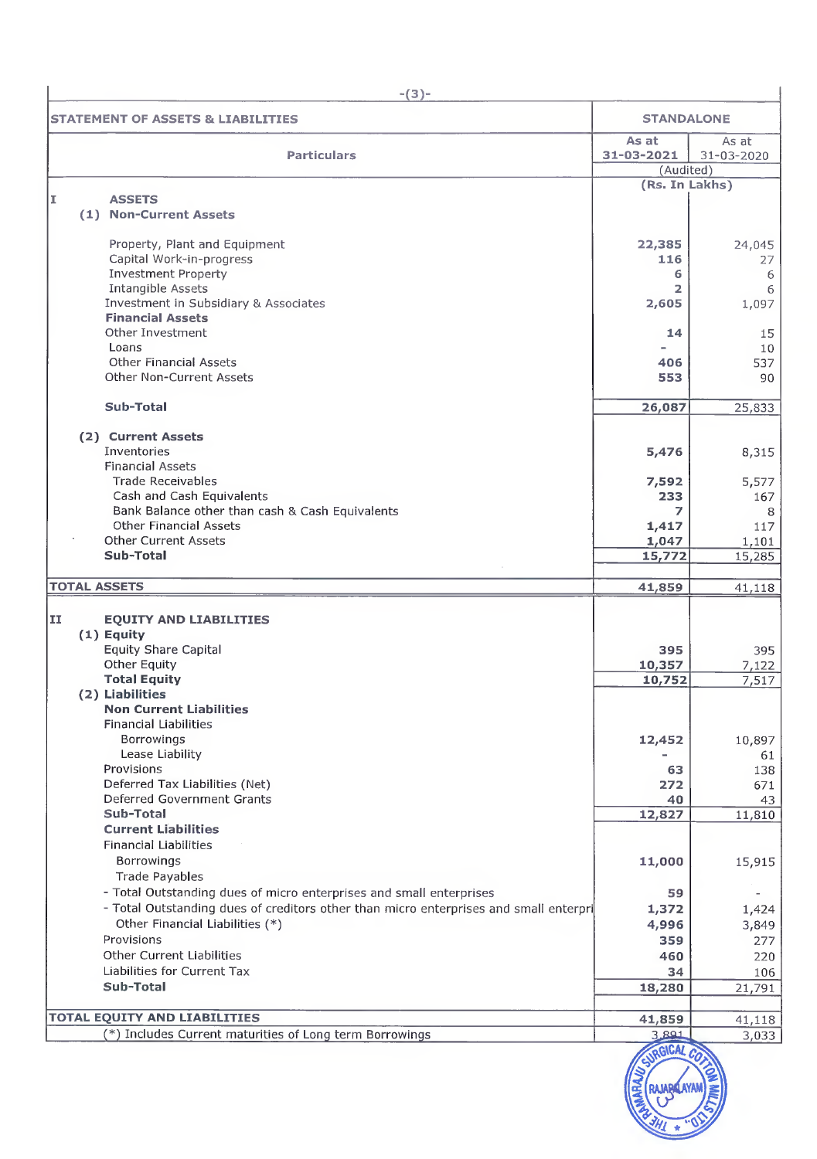| $-(3)-$                                                                               |                                  |                     |
|---------------------------------------------------------------------------------------|----------------------------------|---------------------|
| <b>STATEMENT OF ASSETS &amp; LIABILITIES</b>                                          | <b>STANDALONE</b>                |                     |
| <b>Particulars</b>                                                                    | As at<br>31-03-2021<br>(Audited) | As at<br>31-03-2020 |
|                                                                                       | (Rs. In Lakhs)                   |                     |
| <b>ASSETS</b><br>I                                                                    |                                  |                     |
| (1) Non-Current Assets                                                                |                                  |                     |
| Property, Plant and Equipment                                                         | 22,385                           | 24,045              |
| Capital Work-in-progress                                                              | 116                              | 27                  |
| <b>Investment Property</b>                                                            | 6                                | 6                   |
| Intangible Assets                                                                     | 2                                | 6                   |
| Investment in Subsidiary & Associates                                                 | 2,605                            | 1,097               |
| <b>Financial Assets</b><br>Other Investment                                           | 14                               | 15                  |
| Loans                                                                                 |                                  | 10                  |
| <b>Other Financial Assets</b>                                                         | 406                              | 537                 |
| <b>Other Non-Current Assets</b>                                                       | 553                              | 90                  |
|                                                                                       |                                  |                     |
| Sub-Total                                                                             | 26,087                           | 25,833              |
|                                                                                       |                                  |                     |
| (2) Current Assets<br>Inventories                                                     | 5,476                            | 8,315               |
| <b>Financial Assets</b>                                                               |                                  |                     |
| Trade Receivables                                                                     | 7,592                            | 5,577               |
| Cash and Cash Equivalents                                                             | 233                              | 167                 |
| Bank Balance other than cash & Cash Equivalents                                       | 7                                | 8                   |
| <b>Other Financial Assets</b>                                                         | 1,417                            | 117                 |
| <b>Other Current Assets</b><br>Sub-Total                                              | 1,047                            | 1,101               |
|                                                                                       | 15,772                           | 15,285              |
| <b>TOTAL ASSETS</b>                                                                   | 41,859                           | 41,118              |
|                                                                                       |                                  |                     |
| II<br><b>EQUITY AND LIABILITIES</b>                                                   |                                  |                     |
| $(1)$ Equity                                                                          |                                  |                     |
| <b>Equity Share Capital</b><br>Other Equity                                           | 395                              | 395                 |
| <b>Total Equity</b>                                                                   | 10,357<br>10,752                 | 7,122<br>7,517      |
| (2) Liabilities                                                                       |                                  |                     |
| <b>Non Current Liabilities</b>                                                        |                                  |                     |
| <b>Financial Liabilities</b>                                                          |                                  |                     |
| Borrowings                                                                            | 12,452                           | 10,897              |
| Lease Liability                                                                       |                                  | 61                  |
| Provisions<br>Deferred Tax Liabilities (Net)                                          | 63                               | 138                 |
| Deferred Government Grants                                                            | 272<br>40                        | 671<br>43           |
| Sub-Total                                                                             | 12,827                           | 11,810              |
| <b>Current Liabilities</b>                                                            |                                  |                     |
| <b>Financial Liabilities</b>                                                          |                                  |                     |
| <b>Borrowings</b>                                                                     | 11,000                           | 15,915              |
| <b>Trade Payables</b>                                                                 |                                  |                     |
| - Total Outstanding dues of micro enterprises and small enterprises                   | 59                               |                     |
| - Total Outstanding dues of creditors other than micro enterprises and small enterpri | 1,372                            | 1,424               |
| Other Financial Liabilities (*)                                                       | 4,996                            | 3,849               |
| Provisions                                                                            | 359                              | 277                 |
| <b>Other Current Liabilities</b><br>Liabilities for Current Tax                       | 460                              | 220                 |
| Sub-Total                                                                             | 34<br>18,280                     | 106                 |
|                                                                                       |                                  | 21,791              |
| <b>TOTAL EQUITY AND LIABILITIES</b>                                                   | 41,859                           | 41,118              |
| (*) Includes Current maturities of Long term Borrowings                               | 3,801                            | 3,033               |
|                                                                                       |                                  |                     |

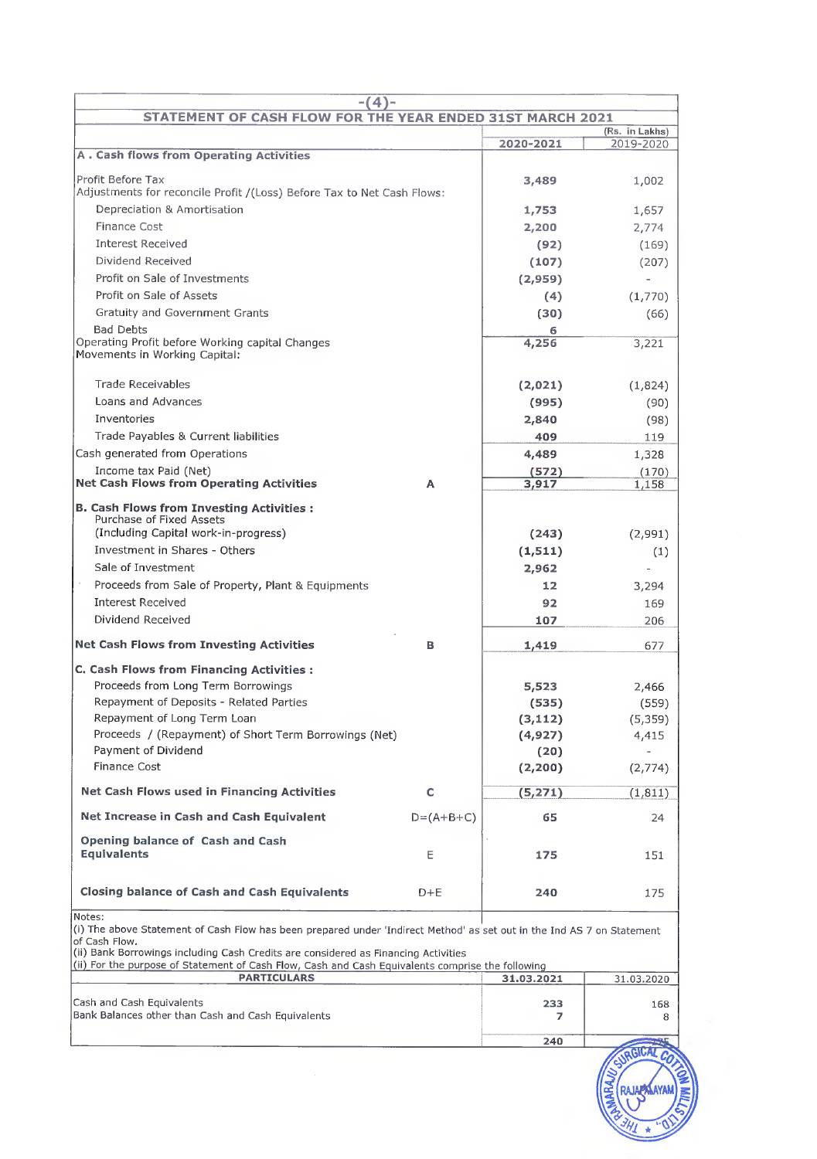| $-(4)$ -<br>STATEMENT OF CASH FLOW FOR THE YEAR ENDED 31ST MARCH 2021                                                                                                                                                                                                                                                                                                                                                                                                                                                                                                                   |             |                                                                                                         |                                                                                     |
|-----------------------------------------------------------------------------------------------------------------------------------------------------------------------------------------------------------------------------------------------------------------------------------------------------------------------------------------------------------------------------------------------------------------------------------------------------------------------------------------------------------------------------------------------------------------------------------------|-------------|---------------------------------------------------------------------------------------------------------|-------------------------------------------------------------------------------------|
|                                                                                                                                                                                                                                                                                                                                                                                                                                                                                                                                                                                         |             |                                                                                                         | (Rs. in Lakhs)                                                                      |
|                                                                                                                                                                                                                                                                                                                                                                                                                                                                                                                                                                                         |             | 2020-2021                                                                                               | 2019-2020                                                                           |
| <b>A. Cash flows from Operating Activities</b>                                                                                                                                                                                                                                                                                                                                                                                                                                                                                                                                          |             |                                                                                                         |                                                                                     |
| Profit Before Tax                                                                                                                                                                                                                                                                                                                                                                                                                                                                                                                                                                       |             | 3,489                                                                                                   | 1,002                                                                               |
| Adjustments for reconcile Profit /(Loss) Before Tax to Net Cash Flows:                                                                                                                                                                                                                                                                                                                                                                                                                                                                                                                  |             |                                                                                                         |                                                                                     |
| Depreciation & Amortisation                                                                                                                                                                                                                                                                                                                                                                                                                                                                                                                                                             |             | 1,753                                                                                                   | 1,657                                                                               |
| <b>Finance Cost</b>                                                                                                                                                                                                                                                                                                                                                                                                                                                                                                                                                                     |             | 2,200                                                                                                   | 2,774                                                                               |
| <b>Interest Received</b>                                                                                                                                                                                                                                                                                                                                                                                                                                                                                                                                                                |             | (92)                                                                                                    | (169)                                                                               |
| Dividend Received                                                                                                                                                                                                                                                                                                                                                                                                                                                                                                                                                                       |             | (107)                                                                                                   | (207)                                                                               |
| Profit on Sale of Investments                                                                                                                                                                                                                                                                                                                                                                                                                                                                                                                                                           |             | (2,959)                                                                                                 | $\overline{\phantom{0}}$                                                            |
| Profit on Sale of Assets                                                                                                                                                                                                                                                                                                                                                                                                                                                                                                                                                                |             | (4)                                                                                                     | (1,770)                                                                             |
| Gratuity and Government Grants                                                                                                                                                                                                                                                                                                                                                                                                                                                                                                                                                          |             | (30)                                                                                                    | (66)                                                                                |
| <b>Bad Debts</b><br>Operating Profit before Working capital Changes<br>Movements in Working Capital:                                                                                                                                                                                                                                                                                                                                                                                                                                                                                    |             | 6<br>4,256                                                                                              | 3,221                                                                               |
| Trade Receivables                                                                                                                                                                                                                                                                                                                                                                                                                                                                                                                                                                       |             | (2,021)                                                                                                 | (1,824)                                                                             |
| Loans and Advances                                                                                                                                                                                                                                                                                                                                                                                                                                                                                                                                                                      |             | (995)                                                                                                   | (90)                                                                                |
| Inventories                                                                                                                                                                                                                                                                                                                                                                                                                                                                                                                                                                             |             | 2,840                                                                                                   | (98)                                                                                |
| Trade Payables & Current liabilities                                                                                                                                                                                                                                                                                                                                                                                                                                                                                                                                                    |             | 409                                                                                                     | 119                                                                                 |
| Cash generated from Operations                                                                                                                                                                                                                                                                                                                                                                                                                                                                                                                                                          |             | 4,489                                                                                                   | 1,328                                                                               |
| Income tax Paid (Net)                                                                                                                                                                                                                                                                                                                                                                                                                                                                                                                                                                   |             | (572)                                                                                                   | (170)                                                                               |
| <b>Net Cash Flows from Operating Activities</b>                                                                                                                                                                                                                                                                                                                                                                                                                                                                                                                                         | A           | 3,917                                                                                                   | 1,158                                                                               |
| <b>B. Cash Flows from Investing Activities:</b><br>Purchase of Fixed Assets<br>(Including Capital work-in-progress)<br>Investment in Shares - Others<br>Sale of Investment<br>Proceeds from Sale of Property, Plant & Equipments<br><b>Interest Received</b><br>Dividend Received<br><b>Net Cash Flows from Investing Activities</b><br><b>C. Cash Flows from Financing Activities:</b><br>Proceeds from Long Term Borrowings<br>Repayment of Deposits - Related Parties<br>Repayment of Long Term Loan<br>Proceeds / (Repayment) of Short Term Borrowings (Net)<br>Payment of Dividend | в           | (243)<br>(1,511)<br>2,962<br>12<br>92<br>107<br>1,419<br>5,523<br>(535)<br>(3, 112)<br>(4, 927)<br>(20) | (2,991)<br>(1)<br>3,294<br>169<br>206<br>677<br>2,466<br>(559)<br>(5, 359)<br>4,415 |
| <b>Finance Cost</b><br>Net Cash Flows used in Financing Activities                                                                                                                                                                                                                                                                                                                                                                                                                                                                                                                      | c           | (2, 200)<br>(5, 271)                                                                                    | (2,774)<br>(1, 811)                                                                 |
|                                                                                                                                                                                                                                                                                                                                                                                                                                                                                                                                                                                         |             |                                                                                                         |                                                                                     |
| Net Increase in Cash and Cash Equivalent                                                                                                                                                                                                                                                                                                                                                                                                                                                                                                                                                | $D=(A+B+C)$ | 65                                                                                                      | 24                                                                                  |
| Opening balance of Cash and Cash<br><b>Equivalents</b>                                                                                                                                                                                                                                                                                                                                                                                                                                                                                                                                  | E           | 175                                                                                                     | 151                                                                                 |
| <b>Closing balance of Cash and Cash Equivalents</b>                                                                                                                                                                                                                                                                                                                                                                                                                                                                                                                                     | D+E         | 240                                                                                                     | 175                                                                                 |
| Notes:<br>(i) The above Statement of Cash Flow has been prepared under 'Indirect Method' as set out in the Ind AS 7 on Statement<br>of Cash Flow.<br>(ii) Bank Borrowings including Cash Credits are considered as Financing Activities<br>(ii) For the purpose of Statement of Cash Flow, Cash and Cash Equivalents comprise the following                                                                                                                                                                                                                                             |             |                                                                                                         |                                                                                     |
| <b>PARTICULARS</b>                                                                                                                                                                                                                                                                                                                                                                                                                                                                                                                                                                      |             | 31.03.2021                                                                                              | 31.03.2020                                                                          |
| Cash and Cash Equivalents<br>Bank Balances other than Cash and Cash Equivalents                                                                                                                                                                                                                                                                                                                                                                                                                                                                                                         |             | 233<br>7                                                                                                | 168<br>8                                                                            |



240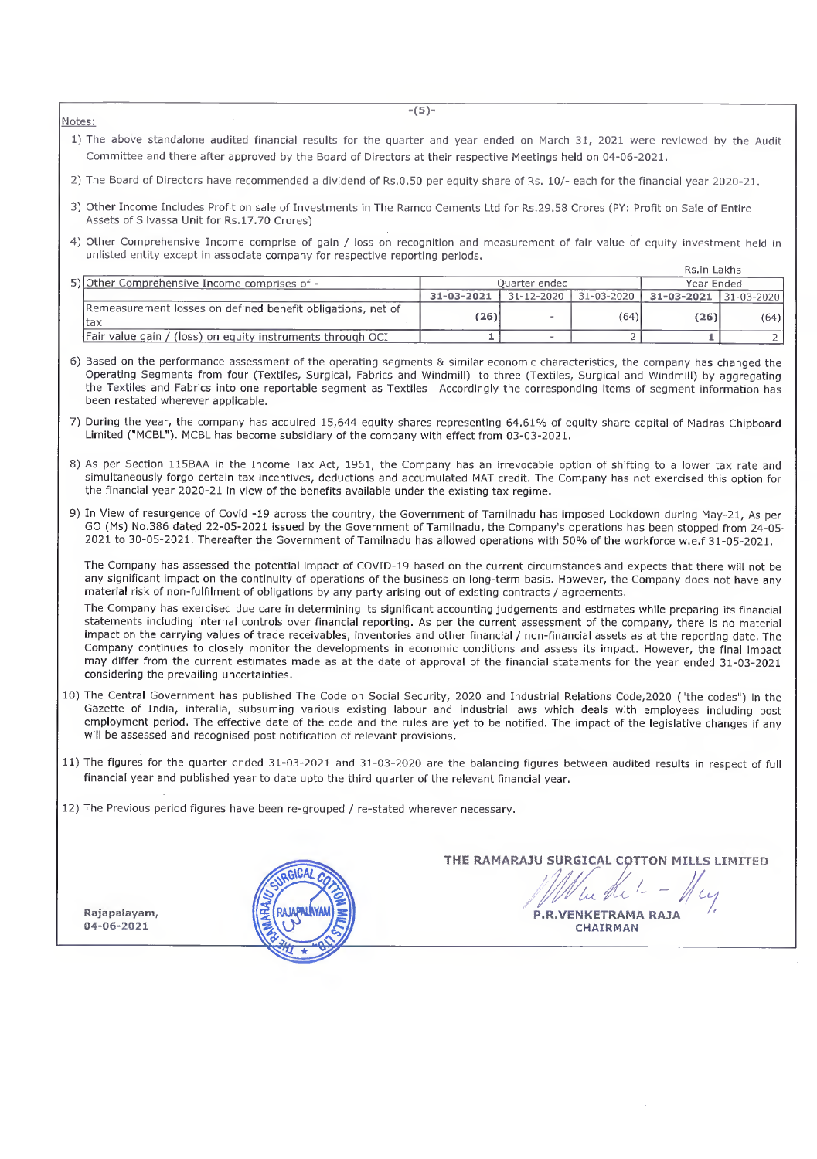Notes:

- 1) The above standalone audited financial results for the quarter and year ended on March 31, 2021 were reviewed by the Audit Committee and there after approved by the Board of Directors at their respective Meetings held on 04-05-2021.
- 2) The Board of Directors have recommended a dividend of Rs.0,50 per equity share of Rs. 10/- each for the financial year 2020-21.
- 3) Other Income Includes Profit on sale of Investments in The Ramco Cements Ltd for Rs.29.58 Crores (PY: Profit on Sale of Entire Assets of Silvassa Unit for Rs.17.70 Crores)
- 4) Other Comprehensive Income comprise of gain / loss on recognition and measurement of fair value of equity investment held in unlisted entity except in associate company for respective reporting periods.

|                                                                    |            |                       |            | Rs.in Lakhs                 |      |
|--------------------------------------------------------------------|------------|-----------------------|------------|-----------------------------|------|
| 5) Other Comprehensive Income comprises of -                       |            | Ouarter ended         | Year Ended |                             |      |
|                                                                    | 31-03-2021 | 31-12-2020 31-03-2020 |            | $31 - 03 - 2021$ 31-03-2020 |      |
| Remeasurement losses on defined benefit obligations, net of<br>tax | (26)       | <b>AB</b>             | (64)       | (26)                        | (64) |
| Fair value gain / (loss) on equity instruments through OCI         |            | $\sim$                |            |                             |      |

- 6) Based on the performance assessment of the operating segments & similar economic characteristics, the company has changed the Operating Segments from four (Textiles, Surgical, Fabrics and Windmill) to three (Textiles, Surgical and Windmill) by aggregating the Textiles and Fabrics into one reportable segment as Textiles Accordingly the corresponding items of segment information has been restated wherever applicable.
- 7) During the year, the company has acquired 15,644 equity shares representing 64.61% of equity share capital of Madras Chipboard Limited ("MCBL"). MCBL has become subsidiary of the company with effect from 03-03-2021.
- 8) As per Section 115BAA in the Income Tax Act, 1961, the Company has an Irrevocable option of shifting to a lower tax rate and simultaneously forgo certain tax incentives, deductions and accumulated MAT credit. The Company has not exercised this option for the financial year 2020-21 in view of the benefits available under the existing tax regime.
- 9) In View of resurgence of Covld -19 across the country, the Government of Tamilnadu has imposed Lockdown during May-21, As per GO (Ms) No.386 dated 22-05-2021 issued by the Government of Tamilnadu, the Company's operations has been stopped from 24-05- 2021 to 30-05-2021. Thereafter the Government of Tamilnadu has allowed operations with 50% of the workforce w.e.f 31-05-2021.

The Company has assessed the potential impact of COVID-19 based on the current circumstances and expects that there will not be any significant impact on the continuity of operations of the business on long-term basis. However, the Company does not have any material risk of non-fulfilment of obligations by any party arising out of existing contracts / agreements.

The Company has exercised due care in determining its significant accounting judgements and estimates while preparing its financial statements including internal controls over financial reporting. As per the current assessment of the company, there is no material impact on the carrying values of trade receivables, inventories and other financial / non-financial assets as at the reporting date. The Company continues to closely monitor the developments in economic conditions and assess its impact. However, the final impact may differ from the current estimates made as at the date of approval of the financial statements for the year ended 31-03-2021 considering the prevailing uncertainties,

- 10) The Central Government has published The Code on Social Security, 2020 and Industrial Relations Code,2020 ("the codes") in the Gazette of India, interalia, subsuming various existing labour and industrial laws which deals with employees including post employment period. The effective date of the code and the rules are yet to be notified. The impact of the legislative changes if any will be assessed and recognised post notification of relevant provisions.
- 11) The figures for the quarter ended 31-03-2021 and 31-03-2020 are the balancing figures between audited results in respect of full financial year and published year to date upto the third quarter of the relevant financial year.
- 12) The Previous period figures have been re-grouped / re-stated wherever necessary.

Rajapalayam, 04-06-2021



THE RAMARAJU SURGICAL COTTON MILLS LIMITED  $\mu$ P.R.VENKETRAMA RAJA CHAIRMAN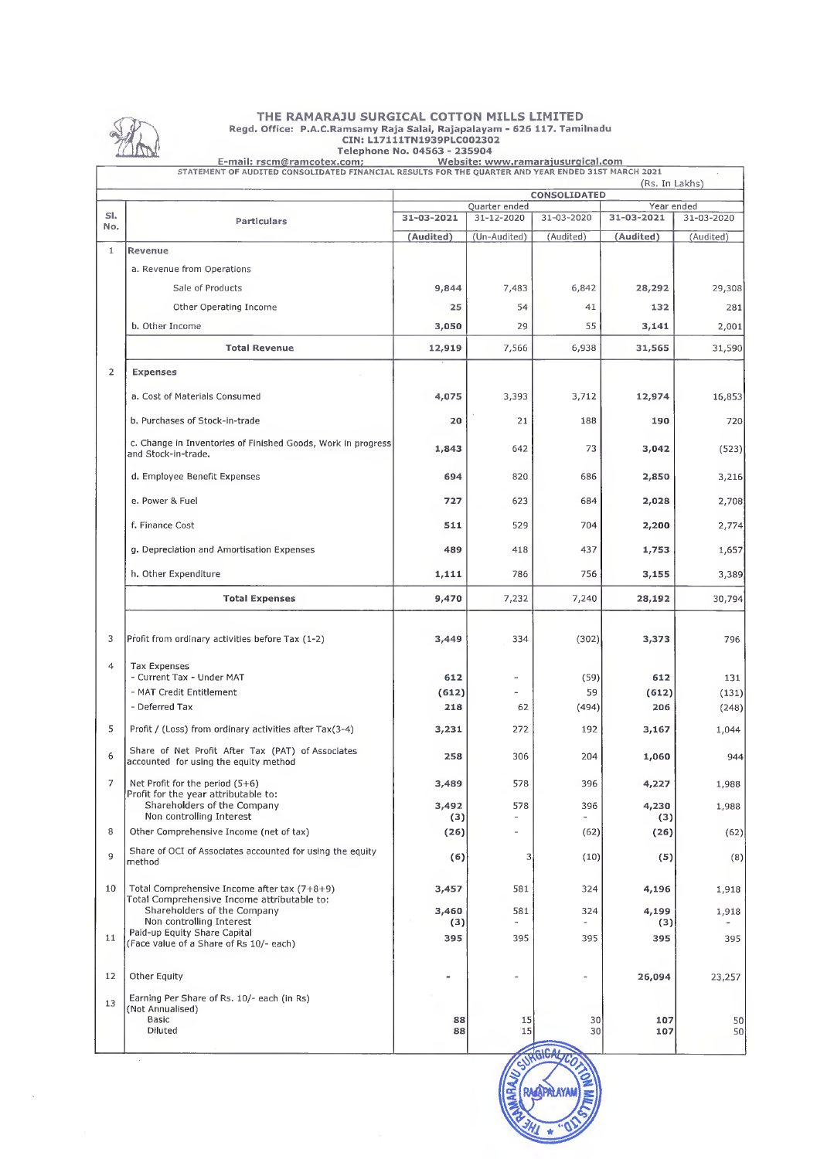

 $\ddot{\phantom{a}}$ 

# THE RAMARAJU SURGICAL COTTON MILLS LIMITED Regd. Office; P.A.C.Ramsamy Raja Salai, Rajapalayam - 626 117. Tamilnadu CIN:L17111TN1939PLC002302 Telephone No. 04563 - 235904

|                         | STATEMENT OF AUDITED CONSOLIDATED FINANCIAL RESULTS FOR THE QUARTER AND YEAR ENDED 31ST MARCH 2021 |             |                                            |                                  | (Rs. In Lakhs)           |            |
|-------------------------|----------------------------------------------------------------------------------------------------|-------------|--------------------------------------------|----------------------------------|--------------------------|------------|
|                         |                                                                                                    |             |                                            | CONSOLIDATED                     |                          |            |
| SI <sub>x</sub>         | Particulars                                                                                        | 31-03-2021  | Quarter ended<br>31-12-2020                | 31-03-2020                       | Year ended<br>31-03-2021 | 31-03-2020 |
| No.                     |                                                                                                    | (Audited)   | (Un-Audited)                               | (Audited)                        | (Audited)                | (Audited)  |
| $\mathbf{1}$            | Revenue                                                                                            |             |                                            |                                  |                          |            |
|                         | a. Revenue from Operations                                                                         |             |                                            |                                  |                          |            |
|                         | Sale of Products                                                                                   | 9,844       | 7,483                                      | 6,842                            | 28,292                   | 29,308     |
|                         | Other Operating Income                                                                             | 25          | 54                                         | 41                               | 132                      | 281        |
|                         | b. Other Income                                                                                    | 3,050       | 29                                         | 55                               | 3,141                    | 2,001      |
|                         | <b>Total Revenue</b>                                                                               | 12,919      | 7,566                                      | 6,938                            | 31,565                   | 31,590     |
|                         |                                                                                                    |             |                                            |                                  |                          |            |
| $\overline{\mathbf{c}}$ | <b>Expenses</b>                                                                                    |             |                                            |                                  |                          |            |
|                         | a. Cost of Materials Consumed                                                                      | 4,075       | 3,393                                      | 3,712                            | 12,974                   | 16,853     |
|                         | b. Purchases of Stock-in-trade                                                                     | 20          | 21                                         | 188                              | 190                      | 720        |
|                         | c. Change in Inventories of Finished Goods, Work in progress<br>and Stock-in-trade,                | 1,843       | 642                                        | 73                               | 3,042                    | (523)      |
|                         | d. Employee Benefit Expenses                                                                       | 694         | 820                                        | 686                              | 2,850                    | 3,216      |
|                         | e. Power & Fuel                                                                                    | 727         | 623                                        | 684                              | 2,028                    | 2,708      |
|                         | f. Finance Cost                                                                                    | 511         | 529                                        | 704                              | 2,200                    | 2,774      |
|                         | g. Depreciation and Amortisation Expenses                                                          | 489         | 418                                        | 437                              | 1,753                    | 1,657      |
|                         | h. Other Expenditure                                                                               | 1,111       | 786                                        | 756                              | 3,155                    | 3,389      |
|                         | <b>Total Expenses</b>                                                                              | 9,470       | 7,232                                      | 7,240                            | 28,192                   | 30,794     |
| 3                       | Profit from ordinary activities before Tax (1-2)                                                   | 3,449       | 334                                        | (302)                            | 3,373                    | 796        |
| $\overline{4}$          | <b>Tax Expenses</b><br>- Current Tax - Under MAT                                                   | 612         | $\bar{a}$                                  | (59)                             | 612                      | 131        |
|                         | - MAT Credit Entitlement                                                                           | (612)       |                                            | 59                               | (612)                    | (131)      |
|                         | - Deferred Tax                                                                                     | 218         | 62                                         | (494)                            | 206                      | (248)      |
| 5                       | Profit / (Loss) from ordinary activities after Tax(3-4)                                            | 3,231       | 272                                        | 192                              | 3,167                    | 1,044      |
| 6                       | Share of Net Profit After Tax (PAT) of Associates<br>accounted for using the equity method         | 258         | 306                                        | 204                              | 1,060                    | 944        |
| 7                       | Net Profit for the period $(5+6)$<br>Profit for the year attributable to:                          | 3,489       | 578                                        | 396                              | 4,227                    | 1,988      |
|                         | Shareholders of the Company                                                                        | 3,492       | 578                                        | 396                              | 4,230                    | 1,988      |
| 8                       | Non controlling Interest<br>Other Comprehensive Income (net of tax)                                | (3)<br>(26) | $\blacksquare$<br>$\overline{\phantom{0}}$ | $\overline{\phantom{a}}$<br>(62) | (3)<br>(26)              | (62)       |
| 9                       | Share of OCI of Associates accounted for using the equity<br>method                                | (6)         | 3                                          | (10)                             | (5)                      | (8)        |
| 10                      | Total Comprehensive Income after tax (7+8+9)                                                       | 3,457       | 581                                        | 324                              | 4,196                    | 1,918      |
|                         | Total Comprehensive Income attributable to:<br>Shareholders of the Company                         | 3,460       | 581                                        | 324                              | 4,199                    | 1,918      |
| 11                      | Non controlling Interest<br>Paid-up Equity Share Capital                                           | (3)<br>395  | $\blacksquare$<br>395                      | 395                              | (3)<br>395               | 395        |
|                         | (Face value of a Share of Rs 10/- each)                                                            |             |                                            |                                  |                          |            |
| 12                      | Other Equity                                                                                       |             | $\overline{a}$                             | $\overline{\phantom{a}}$         | 26,094                   | 23,257     |
| 13                      | Earning Per Share of Rs. 10/- each (in Rs)<br>(Not Annualised)                                     |             |                                            |                                  |                          |            |
|                         | Basic<br>Diluted                                                                                   | 88<br>88    | 15<br>15                                   | 30 <sup>2</sup><br>30            | 107<br>107               | 50<br>50   |

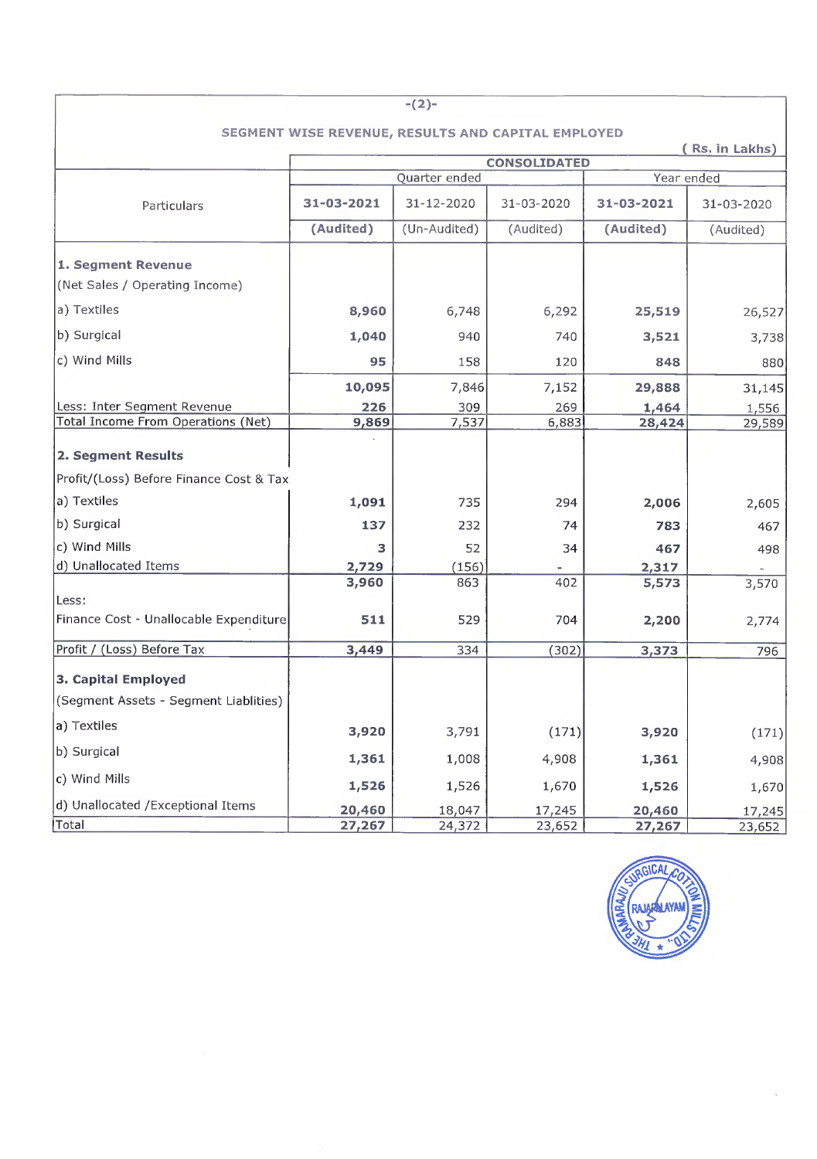| $-(2)-$                                   |                                                    |               |                     |            |            |  |  |  |  |
|-------------------------------------------|----------------------------------------------------|---------------|---------------------|------------|------------|--|--|--|--|
|                                           | SEGMENT WISE REVENUE, RESULTS AND CAPITAL EMPLOYED |               |                     |            |            |  |  |  |  |
| (Rs. in Lakhs)                            |                                                    |               |                     |            |            |  |  |  |  |
|                                           |                                                    |               | <b>CONSOLIDATED</b> |            |            |  |  |  |  |
|                                           |                                                    | Quarter ended |                     | Year ended |            |  |  |  |  |
| Particulars                               | 31-03-2021                                         | 31-12-2020    | 31-03-2020          | 31-03-2021 | 31-03-2020 |  |  |  |  |
|                                           | (Audited)                                          | (Un-Audited)  | (Audited)           | (Audited)  | (Audited)  |  |  |  |  |
| 1. Segment Revenue                        |                                                    |               |                     |            |            |  |  |  |  |
| (Net Sales / Operating Income)            |                                                    |               |                     |            |            |  |  |  |  |
| a) Textiles                               | 8,960                                              | 6,748         | 6,292               | 25,519     | 26,527     |  |  |  |  |
| b) Surgical                               | 1,040                                              | 940           | 740                 | 3,521      | 3,738      |  |  |  |  |
| c) Wind Mills                             | 95                                                 | 158           | 120                 | 848        | 880        |  |  |  |  |
|                                           | 10,095                                             | 7,846         | 7,152               | 29,888     | 31,145     |  |  |  |  |
| Less: Inter Segment Revenue               | 226                                                | 309           | 269                 | 1,464      | 1,556      |  |  |  |  |
| <b>Total Income From Operations (Net)</b> | 9,869                                              | 7,537         | 6,883               | 28,424     | 29,589     |  |  |  |  |
| 2. Segment Results                        |                                                    |               |                     |            |            |  |  |  |  |
| Profit/(Loss) Before Finance Cost & Tax   |                                                    |               |                     |            |            |  |  |  |  |
| a) Textiles                               | 1,091                                              | 735           | 294                 | 2,006      | 2,605      |  |  |  |  |
| b) Surgical                               | 137                                                | 232           | 74                  | 783        | 467        |  |  |  |  |
| c) Wind Mills                             | з                                                  | 52            | 34                  | 467        | 498        |  |  |  |  |
| d) Unallocated Items                      | 2,729                                              | (156)         |                     | 2,317      |            |  |  |  |  |
|                                           | 3,960                                              | 863           | 402                 | 5,573      | 3,570      |  |  |  |  |
| Less:                                     |                                                    |               |                     |            |            |  |  |  |  |
| Finance Cost - Unallocable Expenditure    | 511                                                | 529           | 704                 | 2,200      | 2,774      |  |  |  |  |
| Profit / (Loss) Before Tax                | 3,449                                              | 334           | (302)               | 3,373      | 796        |  |  |  |  |
| 3. Capital Employed                       |                                                    |               |                     |            |            |  |  |  |  |
| (Segment Assets - Segment Liablities)     |                                                    |               |                     |            |            |  |  |  |  |
| a) Textiles                               | 3,920                                              | 3,791         | (171)               | 3,920      | (171)      |  |  |  |  |
| b) Surgical                               | 1,361                                              | 1,008         | 4,908               | 1,361      | 4,908      |  |  |  |  |
| c) Wind Mills                             | 1,526                                              | 1,526         | 1,670               | 1,526      | 1,670      |  |  |  |  |
| d) Unallocated / Exceptional Items        | 20,460                                             | 18,047        | 17,245              | 20,460     | 17,245     |  |  |  |  |
| Total                                     | 27,267                                             | 24,372        | 23,652              | 27,267     | 23,652     |  |  |  |  |

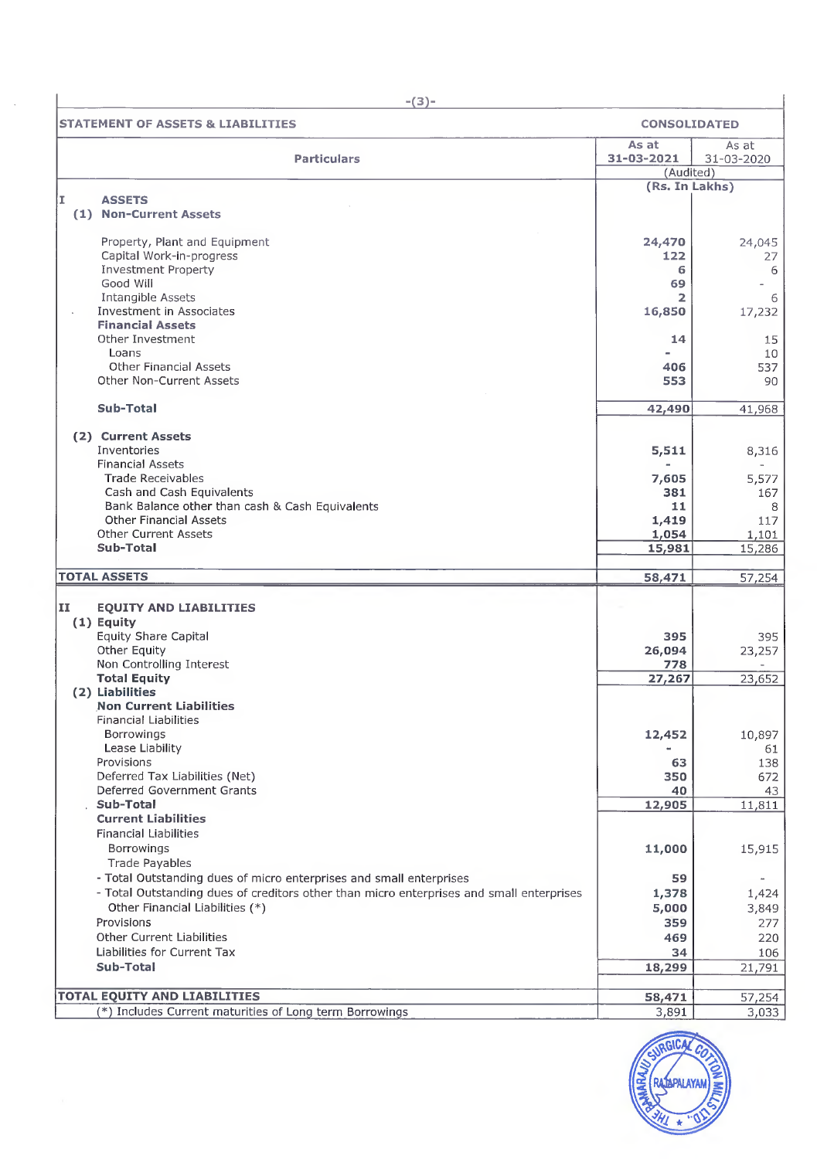|     | $-(3)-$                                                                                  |                                  |                     |
|-----|------------------------------------------------------------------------------------------|----------------------------------|---------------------|
|     | <b>STATEMENT OF ASSETS &amp; LIABILITIES</b>                                             | <b>CONSOLIDATED</b>              |                     |
|     | <b>Particulars</b>                                                                       | As at<br>31-03-2021<br>(Audited) | As at<br>31-03-2020 |
|     |                                                                                          | (Rs. In Lakhs)                   |                     |
| II. | <b>ASSETS</b>                                                                            |                                  |                     |
|     | (1) Non-Current Assets                                                                   |                                  |                     |
|     | Property, Plant and Equipment                                                            | 24,470                           |                     |
|     | Capital Work-in-progress                                                                 | 122                              | 24,045<br>27        |
|     | <b>Investment Property</b>                                                               | 6                                | 6                   |
|     | Good Will                                                                                | 69                               |                     |
|     | Intangible Assets                                                                        | 2                                | 6                   |
|     | Investment in Associates                                                                 | 16,850                           | 17,232              |
|     | <b>Financial Assets</b><br>Other Investment                                              | 14                               | 15                  |
|     | Loans                                                                                    |                                  | 10                  |
|     | <b>Other Financial Assets</b>                                                            | 406                              | 537                 |
|     | Other Non-Current Assets                                                                 | 553                              | 90                  |
|     | Sub-Total                                                                                |                                  |                     |
|     |                                                                                          | 42,490                           | 41,968              |
|     | (2) Current Assets                                                                       |                                  |                     |
|     | Inventories<br><b>Financial Assets</b>                                                   | 5,511                            | 8,316               |
|     | <b>Trade Receivables</b>                                                                 | 7,605                            | 5,577               |
|     | Cash and Cash Equivalents                                                                | 381                              | 167                 |
|     | Bank Balance other than cash & Cash Equivalents                                          | 11                               | 8                   |
|     | <b>Other Financial Assets</b>                                                            | 1,419                            | 117                 |
|     | <b>Other Current Assets</b><br>Sub-Total                                                 | 1,054                            | 1,101               |
|     |                                                                                          | 15,981                           | 15,286              |
|     | <b>TOTAL ASSETS</b>                                                                      | 58,471                           | 57,254              |
| II  | <b>EQUITY AND LIABILITIES</b>                                                            |                                  |                     |
|     | $(1)$ Equity                                                                             |                                  |                     |
|     | <b>Equity Share Capital</b>                                                              | 395                              | 395                 |
|     | Other Equity                                                                             | 26,094                           | 23,257              |
|     | Non Controlling Interest                                                                 | 778                              |                     |
|     | <b>Total Equity</b><br>(2) Liabilities                                                   | 27,267                           | 23,652              |
|     | <b>Non Current Liabilities</b>                                                           |                                  |                     |
|     | Financial Liabilities                                                                    |                                  |                     |
|     | <b>Borrowings</b>                                                                        | 12,452                           | 10,897              |
|     | Lease Liability                                                                          |                                  | 61                  |
|     | Provisions                                                                               | 63                               | 138                 |
|     | Deferred Tax Liabilities (Net)<br>Deferred Government Grants                             | 350<br>40                        | 672<br>43           |
|     | Sub-Total                                                                                | 12,905                           | 11,811              |
|     | <b>Current Liabilities</b>                                                               |                                  |                     |
|     | <b>Financial Liabilities</b>                                                             |                                  |                     |
|     | Borrowings                                                                               | 11,000                           | 15,915              |
|     | <b>Trade Payables</b>                                                                    |                                  |                     |
|     | - Total Outstanding dues of micro enterprises and small enterprises                      | 59                               | $\sim$              |
|     | - Total Outstanding dues of creditors other than micro enterprises and small enterprises | 1,378                            | 1,424               |
|     | Other Financial Liabilities (*)<br>Provisions                                            | 5,000                            | 3,849               |
|     | Other Current Liabilities                                                                | 359<br>469                       | 277<br>220          |
|     | Liabilities for Current Tax                                                              | 34                               | 106                 |
|     | Sub-Total                                                                                | 18,299                           | 21,791              |
|     |                                                                                          |                                  |                     |
|     | <b>TOTAL EQUITY AND LIABILITIES</b>                                                      | 58,471                           | 57,254              |
|     | (*) Includes Current maturities of Long term Borrowings                                  | 3,891                            | 3,033               |

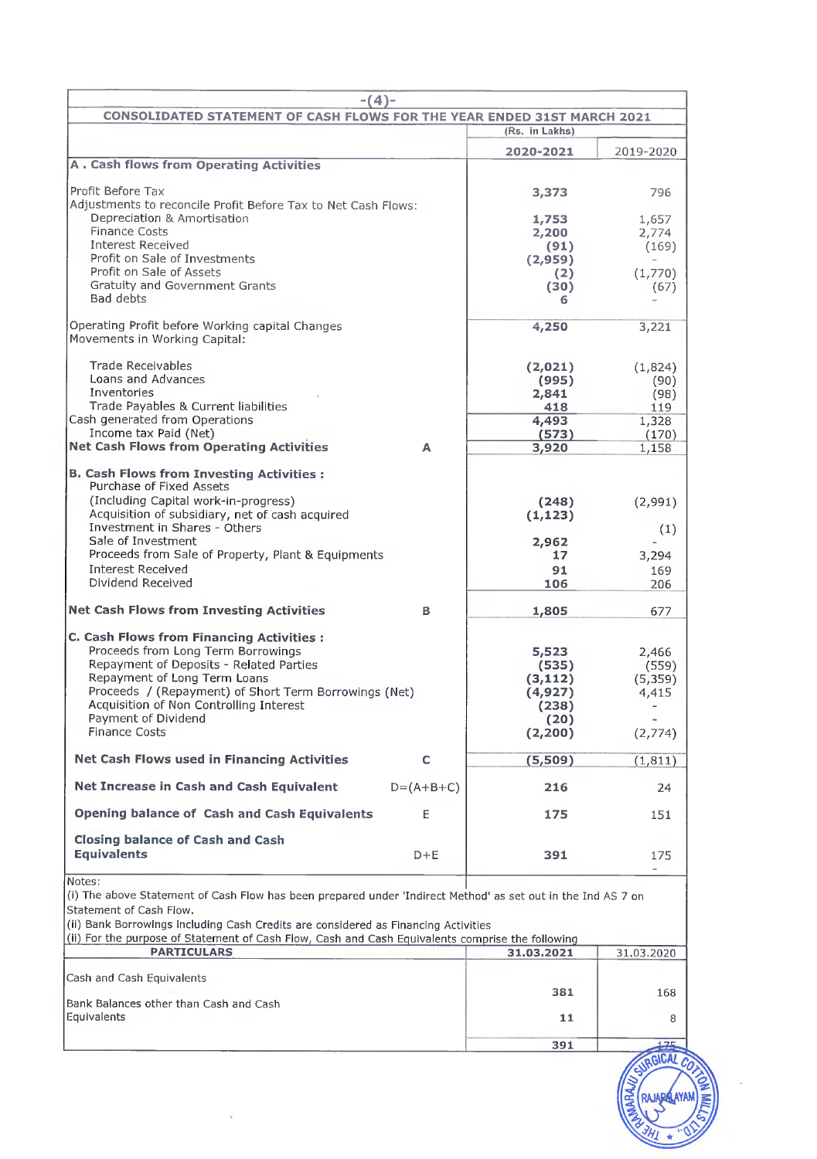| $-(4)-$                                                                                                                                 |                   |                   |             |
|-----------------------------------------------------------------------------------------------------------------------------------------|-------------------|-------------------|-------------|
| <b>CONSOLIDATED STATEMENT OF CASH FLOWS FOR THE YEAR ENDED 31ST MARCH 2021</b>                                                          |                   |                   |             |
|                                                                                                                                         |                   | (Rs. in Lakhs)    |             |
| <b>A. Cash flows from Operating Activities</b>                                                                                          |                   | 2020-2021         | 2019-2020   |
|                                                                                                                                         |                   |                   |             |
| Profit Before Tax<br>Adjustments to reconcile Profit Before Tax to Net Cash Flows:                                                      |                   | 3,373             | 796         |
| Depreciation & Amortisation                                                                                                             |                   | 1,753             | 1,657       |
| <b>Finance Costs</b>                                                                                                                    |                   | 2,200             | 2,774       |
| <b>Interest Received</b><br>Profit on Sale of Investments                                                                               |                   | (91)<br>(2,959)   | (169)       |
| Profit on Sale of Assets                                                                                                                |                   | (2)               | (1,770)     |
| <b>Gratuity and Government Grants</b>                                                                                                   |                   | (30)              | (67)        |
| Bad debts                                                                                                                               |                   | 6                 |             |
| Operating Profit before Working capital Changes<br>Movements in Working Capital:                                                        |                   | 4,250             | 3,221       |
| <b>Trade Receivables</b>                                                                                                                |                   | (2,021)           | (1,824)     |
| Loans and Advances                                                                                                                      |                   | (995)             | (90)        |
| Inventories<br>Trade Pavables & Current liabilities                                                                                     |                   | 2,841<br>418      | (98)<br>119 |
| Cash generated from Operations                                                                                                          |                   | 4,493             | 1,328       |
| Income tax Paid (Net)                                                                                                                   |                   | (573)             | (170)       |
| <b>Net Cash Flows from Operating Activities</b>                                                                                         | A                 | 3,920             | 1,158       |
| <b>B. Cash Flows from Investing Activities:</b><br>Purchase of Fixed Assets                                                             |                   |                   |             |
| (Including Capital work-in-progress)<br>Acquisition of subsidiary, net of cash acquired                                                 |                   | (248)             | (2,991)     |
| Investment in Shares - Others                                                                                                           |                   | (1, 123)          | (1)         |
| Sale of Investment                                                                                                                      |                   | 2,962             |             |
| Proceeds from Sale of Property, Plant & Equipments                                                                                      |                   | 17                | 3,294       |
| <b>Interest Received</b><br>Dividend Received                                                                                           |                   | 91<br>106         | 169<br>206  |
| <b>Net Cash Flows from Investing Activities</b>                                                                                         | в                 | 1,805             | 677         |
|                                                                                                                                         |                   |                   |             |
| <b>C. Cash Flows from Financing Activities:</b><br>Proceeds from Long Term Borrowings                                                   |                   | 5,523             | 2,466       |
| Repayment of Deposits - Related Parties                                                                                                 |                   | (535)             | (559)       |
| Repayment of Long Term Loans                                                                                                            |                   | (3, 112)          | (5,359)     |
| Proceeds / (Repayment) of Short Term Borrowings (Net)<br>Acquisition of Non Controlling Interest                                        |                   | (4, 927)<br>(238) | 4,415       |
| Payment of Dividend                                                                                                                     |                   | (20)              |             |
| <b>Finance Costs</b>                                                                                                                    |                   | (2, 200)          | (2,774)     |
| Net Cash Flows used in Financing Activities                                                                                             | c                 | (5,509)           | (1, 811)    |
| Net Increase in Cash and Cash Equivalent                                                                                                | $D = (A + B + C)$ | 216               | 24          |
| Opening balance of Cash and Cash Equivalents                                                                                            | E                 | 175               | 151         |
| <b>Closing balance of Cash and Cash</b>                                                                                                 |                   |                   |             |
| <b>Equivalents</b>                                                                                                                      | $D + E$           | 391               | 175         |
| Notes:                                                                                                                                  |                   |                   |             |
| (i) The above Statement of Cash Flow has been prepared under 'Indirect Method' as set out in the Ind AS 7 on<br>Statement of Cash Flow. |                   |                   |             |
| (ii) Bank Borrowings including Cash Credits are considered as Financing Activities                                                      |                   |                   |             |
| (ii) For the purpose of Statement of Cash Flow, Cash and Cash Equivalents comprise the following                                        |                   |                   |             |
| <b>PARTICULARS</b>                                                                                                                      |                   | 31.03.2021        | 31.03.2020  |
| Cash and Cash Equivalents                                                                                                               |                   |                   |             |
|                                                                                                                                         |                   | 381               | 168         |
| Bank Balances other than Cash and Cash<br>Equivalents                                                                                   |                   | 11                | 8           |
|                                                                                                                                         |                   |                   |             |
|                                                                                                                                         |                   | 391               | 175         |

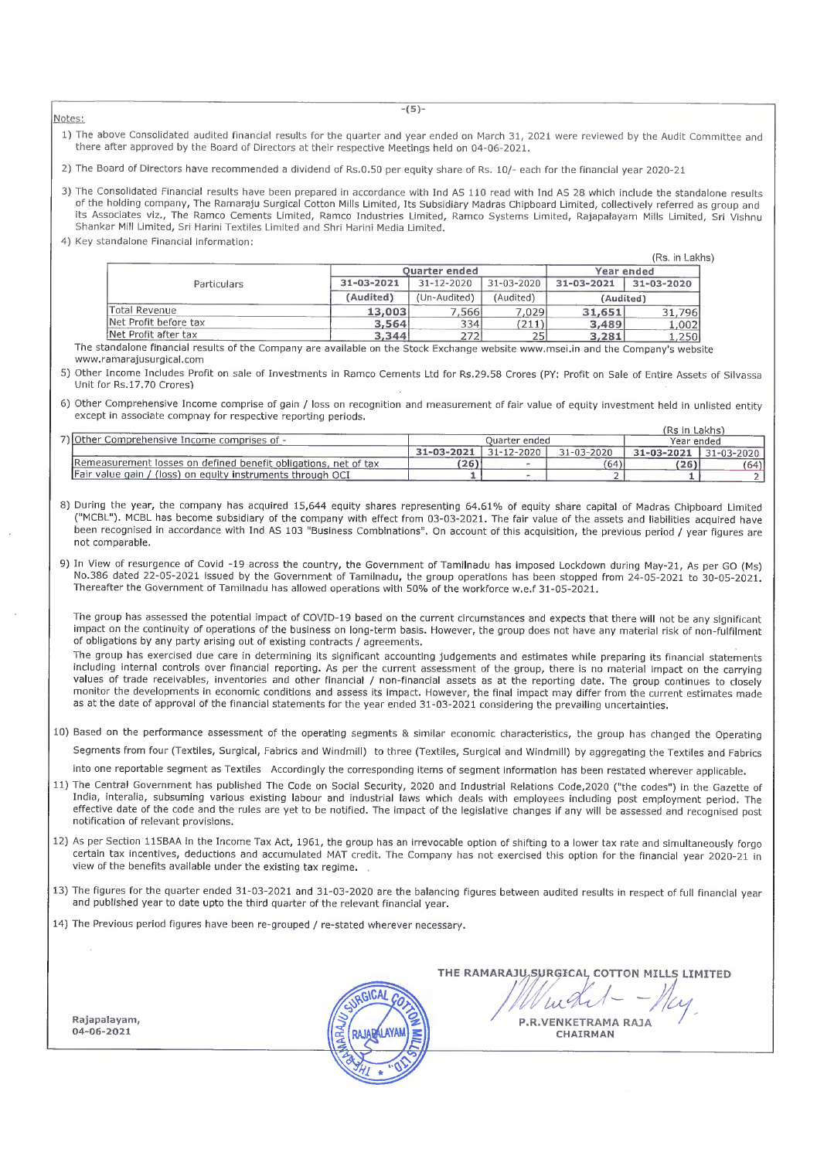Notes:

1) The above Consolidated audited financial results for the quarter and year ended on March 31, 2021 were reviewed by the Audit Committee and there after approved by the Board of Directors at their respective Meetings held on 04-06-2021.

2) The Board of Directors have recommended a dividend of Rs.0.50 per equity share of Rs. 10/- each for the financial year 2020-21

- 3) The Consolidated Financial results have been prepared in accordance with Ind AS 110 read with Ind AS 28 which include the standalone results of the holding company, The Ramaraju Surgical Cotton Mills Limited, Its Subsidiary Madras Chipboard Limited, collectively referred as group and its Associates viz., The Ramco Cements Limited, Ramco Industries Limited, Ramco Systems Limited, Rajapalayam Mills Limited, Sri Vishnu Shankar Mill Limited, Sri Harini Textiles Limited and Shri Harini Media Limited.
- 4) Key standalone Financial information:

|                       |            |                      |                |            | (Rs. in Lakhs) |
|-----------------------|------------|----------------------|----------------|------------|----------------|
|                       |            | <b>Ouarter ended</b> | Year ended     |            |                |
| Particulars           | 31-03-2021 | 31-12-2020           | 31-03-2020     | 31-03-2021 | 31-03-2020     |
|                       | (Audited)  | (Un-Audited)         | (Audited)      | (Audited)  |                |
| Total Revenue         | 13,003     | 7,566                | 7,029          | 31,651     | 31.796         |
| Net Profit before tax | 3,564      | 334                  | $^{\prime}211$ | 3,489      | 1,002          |
| Net Profit after tax  | 3,344      | フフフ                  |                | 3,281      | . . 250 l      |

Net Profit after tax 1,250<br>The standalone financial results of the Company are available on the Stock Exchange website www.msei.in and the Company's website www.ramarajusurgical.com

5) Other Income Includes Profit on sale of Investments in Ramco Cements Ltd for Rs.29.58 Crores (PY; Profit on Sale of Entire Assets of Silvassa Unit for Rs. 17.70 Crores)

6) Other Comprehensive Income comprise of gain / loss on recognition and measurement of fair value of equity investment held in unlisted entity except in associate compnay for respective reporting periods.

|                                                                   |                  |                  |            | (Rs in Lakhs) |                  |  |
|-------------------------------------------------------------------|------------------|------------------|------------|---------------|------------------|--|
| 7) Other Comprehensive Income comprises of -                      | Ouarter ended    |                  |            | Year ended    |                  |  |
|                                                                   | $-31 - 03 - 202$ | $31 - 12 - 2020$ | 31-03-2020 | 31-03-2021    | $31 - 03 - 2020$ |  |
| Remeasurement losses on defined benefit obligations, net of tax   | 26)              |                  | (64)       | 26)           | (64)             |  |
| <b>Fair value gain / (loss) on equity instruments through OCI</b> |                  |                  |            |               |                  |  |

8) During the year, the company has acquired 15,644 equity shares representing 64.61% of equity share capital of Madras Chipboard Limited ("MCBL"). MCBL has become subsidiary of the company with effect from 03-03-2021. The fair value of the assets and liabilities acquired have been recognised in accordance with Ind AS <sup>103</sup> "Business Combinations". On account of this acquisition, the previous period / year figures are not comparable.

9) In View of resurgence of Covid -19 across the country, the Government of Tamilnadu has imposed Lockdown during May-21, As per GO (Ms) No.386 dated 22-05-2021 issued by the Government of Tamilnadu, the group operations has been stopped from 24-05-2021 to 30-05-2021. Thereafter the Government of Tamilnadu has allowed operations with 50% of the workforce w.e.f 31-05-2021.

The group has assessed the potential impact of COVID-19 based on the current circumstances and expects that there will not be any significant impact on the continuity of operations of the business on long-term basis. However, the group does not have any material risk of non-fulfilment of obligations by any party arising out of existing contracts / agreements.

The group has exercised due care in determining its significant accounting judgements and estimates while preparing its financial statements including internal controls over financial reporting. As per the current assessment of the group, there is no material impact on the carrying values of trade receivables, inventories and other financial / non-financial assets as at the reporting date. The group continues to closely monitor the developments in economic conditions and assess its impact. However, the final impact may differ from the current estimates made as at the date of approval of the financial statements for the year ended 31-03-2021 considering the prevailing uncertainties.

10) Based on the performance assessment of the operating segments & similar economic characteristics, the group has changed the Operating Segments from four (Textiles, Surgical, Fabrics and Windmill) to three (Textiles, Surgical and Windmill) by aggregating the Textiles and Fabrics

into one reportable segment as Textiles Accordingly the corresponding items of segment information has been restated wherever applicable.

- 11) The Central Government has published The Code on Social Security, 2020 and Industrial Relations Code,2020 ("the codes") in the Gazette of India, interalia, subsuming various existing labour and industrial laws which deals with employees including post employment period. The effective date of the code and the rules are yet to be notified. The impact of the legislative changes if any will be assessed and recognised post notification of relevant provisions.
- 12) As per Section 115BAA in the Income Tax Act, 1961, the group has an irrevocable option of shifting to a lower tax rate and simultaneously forgo certain tax incentives, deductions and accumulated MAT credit. The Company has not exercised this option for the financial year 2020-21 in view of the benefits available under the existing tax regime.
- 13) The figures for the quarter ended 31-03-2021 and 31-03-2020 are the balancing figures between audited results in respect of full financial year and published year to date upto the third quarter of the relevant financial year.
- 14) The Previous period figures have been re-grouped / re-stated wherever necessary.

Rajapalayam, 04-06-2021



THE RAMARAJU, SURGICAL COTTON MILLS LIMITED

 $\mu$ art - - May P.R.VENKETRAMA RAJA CHAIRMAN